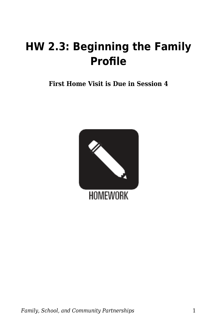## **HW 2.3: Beginning the Family Profile**

**First Home Visit is Due in Session 4**

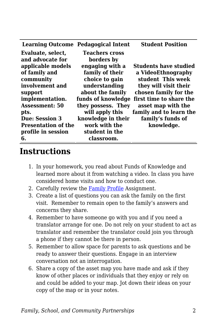|                            | <b>Learning Outcome Pedagogical Intent</b> | <b>Student Position</b> |
|----------------------------|--------------------------------------------|-------------------------|
| Evaluate, select,          | <b>Teachers cross</b>                      |                         |
| and advocate for           | borders by                                 |                         |
| applicable models          | engaging with a                            | Students have studied   |
| of family and              | family of their                            | a VideoEthnography      |
| community                  | choice to gain                             | student This week       |
| involvement and            | understanding                              | they will visit their   |
| support                    | about the family                           | chosen family for the   |
| implementation.            | funds of knowledge                         | first time to share the |
| Assessment: 50             | they possess. They                         | asset map with the      |
| pts.                       | will apply this                            | family and to learn the |
| <b>Due: Session 3</b>      | knowledge in their                         | family's funds of       |
| <b>Presentation of the</b> | work with the                              | knowledge.              |
| profile in session         | student in the                             |                         |
| 6.                         | classroom.                                 |                         |

## **Instructions**

- 1. In your homework, you read about Funds of Knowledge and learned more about it from watching a video. In class you have considered home visits and how to conduct one.
- 2. Carefully review the [Family Profile](https://byu.box.com/s/0f5fi1zptxh85riar9jaqm3zul8iqzrp) Assignment.
- 3. Create a list of questions you can ask the family on the first visit. Remember to remain open to the family's answers and concerns they share.
- 4. Remember to have someone go with you and if you need a translator arrange for one. Do not rely on your student to act as translator and remember the translator could join you through a phone if they cannot be there in person.
- 5. Remember to allow space for parents to ask questions and be ready to answer their questions. Engage in an interview conversation not an interrogation.
- 6. Share a copy of the asset map you have made and ask if they know of other places or individuals that they enjoy or rely on and could be added to your map. Jot down their ideas on your copy of the map or in your notes.